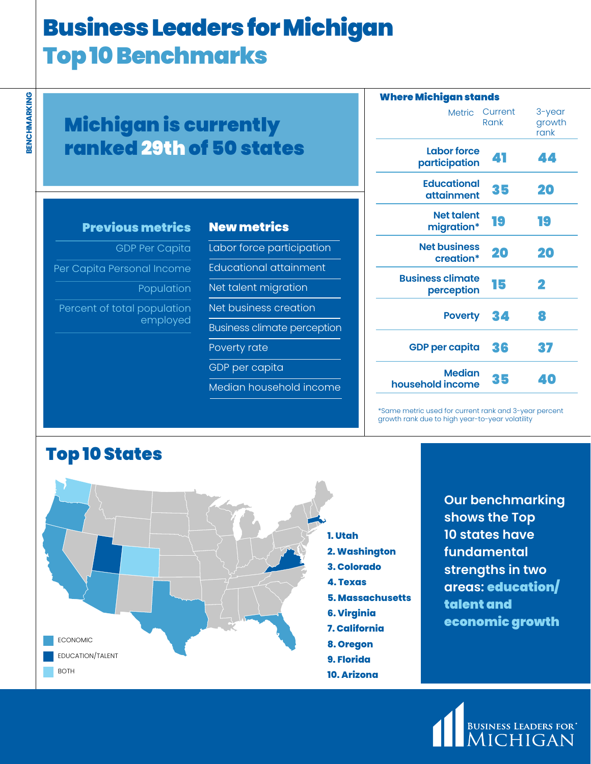# Business Leaders for Michigan Top 10 Benchmarks

| <b>Michigan is currently</b>    |  |
|---------------------------------|--|
| <b>ranked 29th of 50 states</b> |  |

| <b>Previous metrics</b> |  |  |
|-------------------------|--|--|
|                         |  |  |
|                         |  |  |

GDP Per Capita Per Capita Personal Income Population

Percent of total population employed

| <b>New metrics</b>                 |
|------------------------------------|
| Labor force participation          |
| Educational attainment             |
| Net talent migration               |
| Net business creation              |
| <b>Business climate perception</b> |
| Poverty rate                       |
| GDP per capita                     |
| <u>Median household income</u>     |

| Where Michigan stands                 |                 |                          |  |  |  |
|---------------------------------------|-----------------|--------------------------|--|--|--|
| <b>Metric</b>                         | Current<br>Rank | 3-year<br>growth<br>rank |  |  |  |
| Labor force<br>participation          | 41              | 44                       |  |  |  |
| <b>Educational</b><br>attainment      | 35              | 20                       |  |  |  |
| <b>Net talent</b><br>migration*       | 19              | 19                       |  |  |  |
| <b>Net business</b><br>creation*      | 20              | 20                       |  |  |  |
| <b>Business climate</b><br>perception | 15              | 2                        |  |  |  |
| <b>Poverty</b>                        | 34              | 8                        |  |  |  |
| <b>GDP per capita</b>                 | 36              | 37                       |  |  |  |
| <b>Median</b><br>household income     | 35              | 40                       |  |  |  |

\*Same metric used for current rank and 3-year percent growth rank due to high year-to-year volatility



**Our benchmarking shows the Top 10 states have fundamental strengths in two areas:** education/ talent and economic growth**:**



## Top 10 States